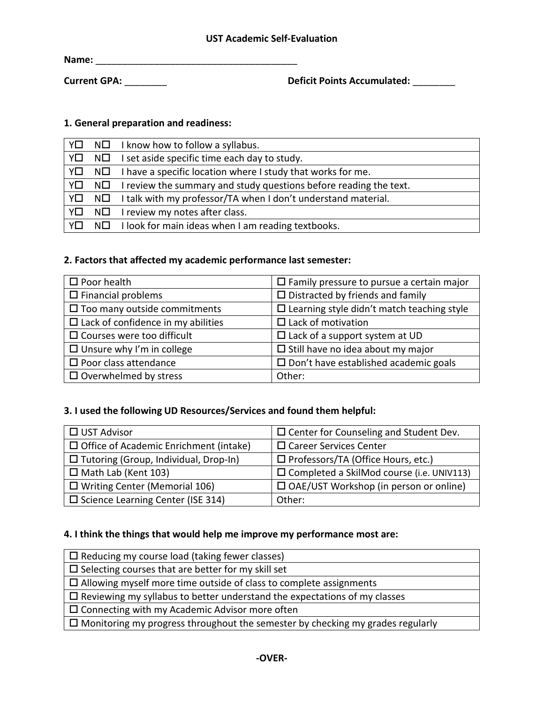**Name:** \_\_\_\_\_\_\_\_\_\_\_\_\_\_\_\_\_\_\_\_\_\_\_\_\_\_\_\_\_\_\_\_\_\_\_\_\_\_

**Current GPA:** \_\_\_\_\_\_\_\_ **Deficit Points Accumulated:** \_\_\_\_\_\_\_\_

### **1. General preparation and readiness:**

|    |         | $Y \Box \quad N \Box \quad I$ know how to follow a syllabus.                             |
|----|---------|------------------------------------------------------------------------------------------|
| Y□ | $N\Box$ | I set aside specific time each day to study.                                             |
| Y□ |         | $N\Box$ I have a specific location where I study that works for me.                      |
|    |         | $Y\square$ N $\square$ I review the summary and study questions before reading the text. |
|    |         | $\sqrt{2}$ N $\Box$ I talk with my professor/TA when I don't understand material.        |
|    |         | $Y\square$ N $\square$ I review my notes after class.                                    |
| YO |         | $N\Box$ I look for main ideas when I am reading textbooks.                               |

#### **2. Factors that affected my academic performance last semester:**

| $\square$ Poor health                     | $\Box$ Family pressure to pursue a certain major     |
|-------------------------------------------|------------------------------------------------------|
| $\Box$ Financial problems                 | $\Box$ Distracted by friends and family              |
| $\square$ Too many outside commitments    | $\square$ Learning style didn't match teaching style |
| $\Box$ Lack of confidence in my abilities | $\Box$ Lack of motivation                            |
| $\square$ Courses were too difficult      | $\Box$ Lack of a support system at UD                |
| $\Box$ Unsure why I'm in college          | $\Box$ Still have no idea about my major             |
| $\square$ Poor class attendance           | $\Box$ Don't have established academic goals         |
| $\Box$ Overwhelmed by stress              | Other:                                               |

# **3. I used the following UD Resources/Services and found them helpful:**

| $\Box$ UST Advisor                            | $\Box$ Center for Counseling and Student Dev.    |
|-----------------------------------------------|--------------------------------------------------|
| $\Box$ Office of Academic Enrichment (intake) | $\Box$ Career Services Center                    |
| $\Box$ Tutoring (Group, Individual, Drop-In)  | □ Professors/TA (Office Hours, etc.)             |
| $\Box$ Math Lab (Kent 103)                    | $\Box$ Completed a SkilMod course (i.e. UNIV113) |
| $\Box$ Writing Center (Memorial 106)          | $\Box$ OAE/UST Workshop (in person or online)    |
| $\Box$ Science Learning Center (ISE 314)      | Other:                                           |

# **4. I think the things that would help me improve my performance most are:**

| $\Box$ Reducing my course load (taking fewer classes)                                 |
|---------------------------------------------------------------------------------------|
| $\Box$ Selecting courses that are better for my skill set                             |
| $\Box$ Allowing myself more time outside of class to complete assignments             |
| $\Box$ Reviewing my syllabus to better understand the expectations of my classes      |
| $\Box$ Connecting with my Academic Advisor more often                                 |
| $\Box$ Monitoring my progress throughout the semester by checking my grades regularly |